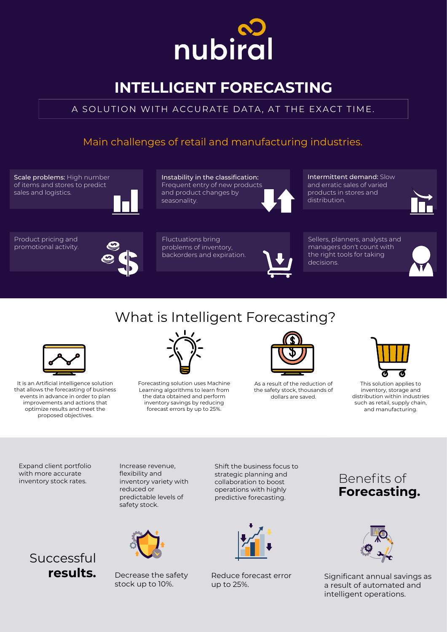Benefits of **Forecasting.**







Decrease the safety stock up to 10%.

Significant annual savings as a result of automated and intelligent operations.



# **INTELLIGENT FORECASTING**

Shift the business focus to strategic planning and



## **Successful results.**

collaboration to boost operations with highly predictive forecasting.

Expand client portfolio with more accurate

inventory stock rates.

Increase revenue, flexibility and

inventory variety with reduced or predictable levels of safety stock.





It is an Artificial intelligence solution that allows the forecasting of business events in advance in order to plan improvements and actions that optimize results and meet the proposed objectives.



Forecasting solution uses Machine Learning algorithms to learn from the data obtained and perform inventory savings by reducing forecast errors by up to 25%.



As a result of the reduction of the safety stock, thousands of dollars are saved.



This solution applies to inventory, storage and distribution within industries such as retail, supply chain, and manufacturing.

## What is Intelligent Forecasting?

## A SOLUTION WITH ACCURATE DATA, AT THE EXACT TIME.

Reduce forecast error up to 25%.

## Main challenges of retail and manufacturing industries.